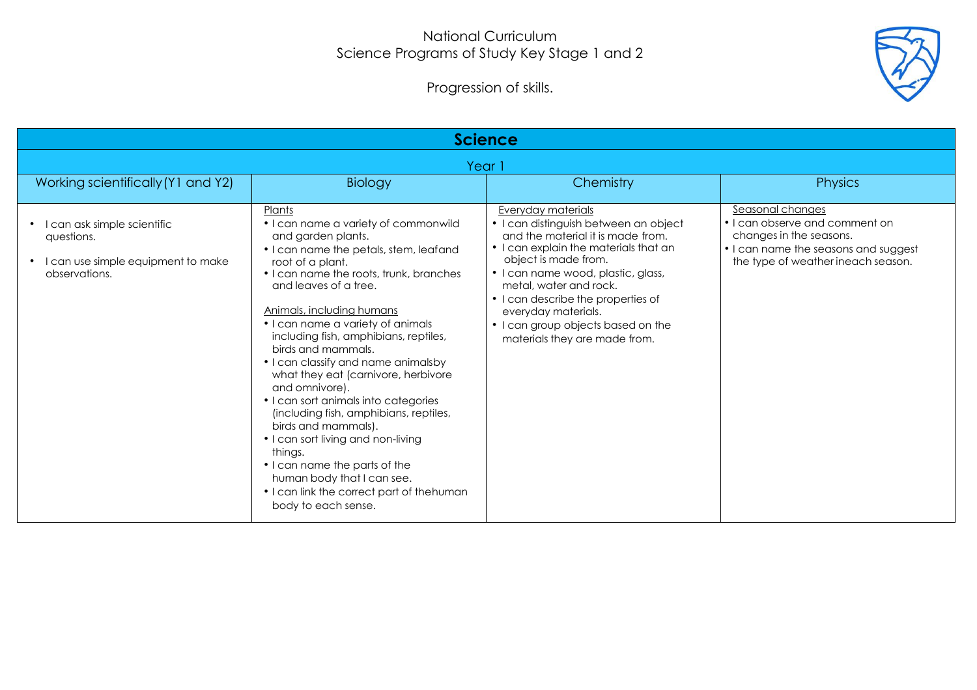## National Curriculum Science Programs of Study Key Stage 1 and 2

Progression of skills.



| <b>Science</b>                                                                                                |                                                                                                                                                                                                                                                                                                                                                                                                                                                                                                                                                                                                                                                                                                                                      |                                                                                                                                                                                                                                                                                                                                                                       |                                                                                                                                                             |  |
|---------------------------------------------------------------------------------------------------------------|--------------------------------------------------------------------------------------------------------------------------------------------------------------------------------------------------------------------------------------------------------------------------------------------------------------------------------------------------------------------------------------------------------------------------------------------------------------------------------------------------------------------------------------------------------------------------------------------------------------------------------------------------------------------------------------------------------------------------------------|-----------------------------------------------------------------------------------------------------------------------------------------------------------------------------------------------------------------------------------------------------------------------------------------------------------------------------------------------------------------------|-------------------------------------------------------------------------------------------------------------------------------------------------------------|--|
| Year 1                                                                                                        |                                                                                                                                                                                                                                                                                                                                                                                                                                                                                                                                                                                                                                                                                                                                      |                                                                                                                                                                                                                                                                                                                                                                       |                                                                                                                                                             |  |
| Working scientifically (Y1 and Y2)                                                                            | Biology                                                                                                                                                                                                                                                                                                                                                                                                                                                                                                                                                                                                                                                                                                                              | Chemistry                                                                                                                                                                                                                                                                                                                                                             | <b>Physics</b>                                                                                                                                              |  |
| I can ask simple scientific<br>$\bullet$<br>questions.<br>I can use simple equipment to make<br>observations. | Plants<br>• I can name a variety of commonwild<br>and garden plants.<br>• I can name the petals, stem, leafand<br>root of a plant.<br>• I can name the roots, trunk, branches<br>and leaves of a tree.<br>Animals, including humans<br>• I can name a variety of animals<br>including fish, amphibians, reptiles,<br>birds and mammals.<br>• I can classify and name animalsby<br>what they eat (carnivore, herbivore<br>and omnivore).<br>• I can sort animals into categories<br>(including fish, amphibians, reptiles,<br>birds and mammals).<br>• I can sort living and non-living<br>things.<br>• I can name the parts of the<br>human body that I can see.<br>• I can link the correct part of thehuman<br>body to each sense. | Everyday materials<br>• I can distinguish between an object<br>and the material it is made from.<br>• I can explain the materials that an<br>object is made from.<br>• I can name wood, plastic, glass,<br>metal, water and rock.<br>• I can describe the properties of<br>everyday materials.<br>• I can group objects based on the<br>materials they are made from. | Seasonal changes<br>• I can observe and comment on<br>changes in the seasons.<br>• I can name the seasons and suggest<br>the type of weather ineach season. |  |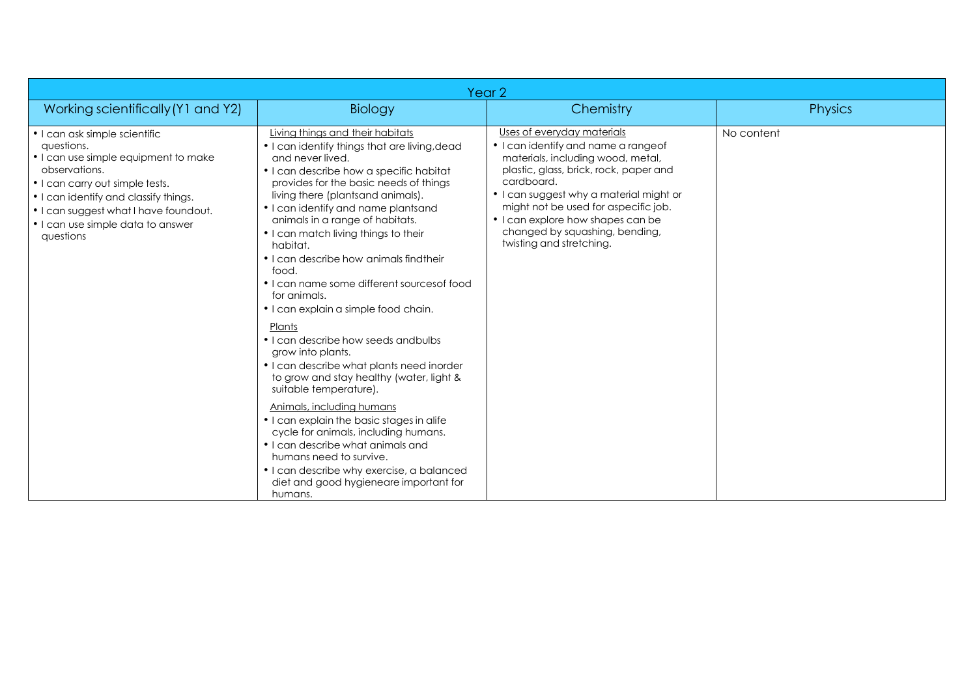| Year <sub>2</sub>                                                                                                                                                                                                                                                           |                                                                                                                                                                                                                                                                                                                                                                                                                                                                                                                                                                                                                                                                                                                                                                                                                                                                                                                                                                                                        |                                                                                                                                                                                                                                                                                                                                                      |                |
|-----------------------------------------------------------------------------------------------------------------------------------------------------------------------------------------------------------------------------------------------------------------------------|--------------------------------------------------------------------------------------------------------------------------------------------------------------------------------------------------------------------------------------------------------------------------------------------------------------------------------------------------------------------------------------------------------------------------------------------------------------------------------------------------------------------------------------------------------------------------------------------------------------------------------------------------------------------------------------------------------------------------------------------------------------------------------------------------------------------------------------------------------------------------------------------------------------------------------------------------------------------------------------------------------|------------------------------------------------------------------------------------------------------------------------------------------------------------------------------------------------------------------------------------------------------------------------------------------------------------------------------------------------------|----------------|
| Working scientifically (Y1 and Y2)                                                                                                                                                                                                                                          | Biology                                                                                                                                                                                                                                                                                                                                                                                                                                                                                                                                                                                                                                                                                                                                                                                                                                                                                                                                                                                                | Chemistry                                                                                                                                                                                                                                                                                                                                            | <b>Physics</b> |
| • I can ask simple scientific<br>questions.<br>• I can use simple equipment to make<br>observations.<br>• I can carry out simple tests.<br>• I can identify and classify things.<br>• I can suggest what I have foundout.<br>• I can use simple data to answer<br>questions | Living things and their habitats<br>• I can identify things that are living, dead<br>and never lived.<br>• I can describe how a specific habitat<br>provides for the basic needs of things<br>living there (plantsand animals).<br>• I can identify and name plantsand<br>animals in a range of habitats.<br>• I can match living things to their<br>habitat.<br>• I can describe how animals find their<br>food.<br>• I can name some different sources of food<br>for animals.<br>• I can explain a simple food chain.<br>Plants<br>• I can describe how seeds and bulbs<br>grow into plants.<br>• I can describe what plants need inorder<br>to grow and stay healthy (water, light &<br>suitable temperature).<br>Animals, including humans<br>• I can explain the basic stages in alife<br>cycle for animals, including humans.<br>• I can describe what animals and<br>humans need to survive.<br>• I can describe why exercise, a balanced<br>diet and good hygieneare important for<br>humans. | Uses of everyday materials<br>• I can identify and name a rangeof<br>materials, including wood, metal,<br>plastic, glass, brick, rock, paper and<br>cardboard.<br>• I can suggest why a material might or<br>might not be used for aspecific job.<br>• I can explore how shapes can be<br>changed by squashing, bending,<br>twisting and stretching. | No content     |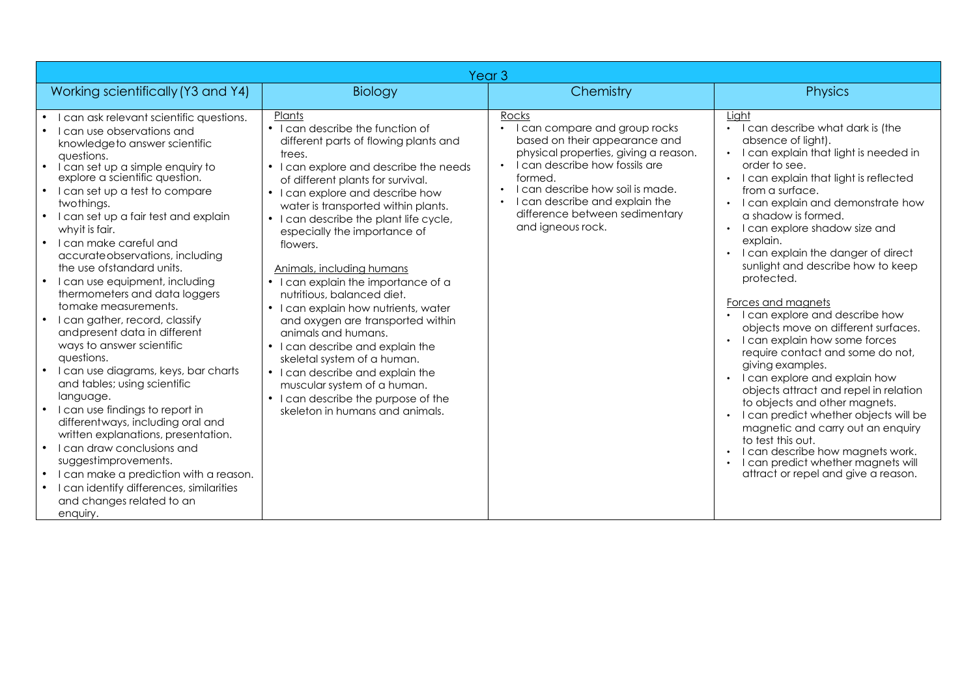| Year <sub>3</sub>                                                                                                                                                                                                                                                                                                                                                                                                                                                                                                                                                                                                                                                                                                                                                                                                                                                                                                                                                                                                |                                                                                                                                                                                                                                                                                                                                                                                                                                                                                                                                                                                                                                                                                                                                                                     |                                                                                                                                                                                                                                                                                                                                   |                                                                                                                                                                                                                                                                                                                                                                                                                                                                                                                                                                                                                                                                                                                                                                                                                                                                                                                                                                      |
|------------------------------------------------------------------------------------------------------------------------------------------------------------------------------------------------------------------------------------------------------------------------------------------------------------------------------------------------------------------------------------------------------------------------------------------------------------------------------------------------------------------------------------------------------------------------------------------------------------------------------------------------------------------------------------------------------------------------------------------------------------------------------------------------------------------------------------------------------------------------------------------------------------------------------------------------------------------------------------------------------------------|---------------------------------------------------------------------------------------------------------------------------------------------------------------------------------------------------------------------------------------------------------------------------------------------------------------------------------------------------------------------------------------------------------------------------------------------------------------------------------------------------------------------------------------------------------------------------------------------------------------------------------------------------------------------------------------------------------------------------------------------------------------------|-----------------------------------------------------------------------------------------------------------------------------------------------------------------------------------------------------------------------------------------------------------------------------------------------------------------------------------|----------------------------------------------------------------------------------------------------------------------------------------------------------------------------------------------------------------------------------------------------------------------------------------------------------------------------------------------------------------------------------------------------------------------------------------------------------------------------------------------------------------------------------------------------------------------------------------------------------------------------------------------------------------------------------------------------------------------------------------------------------------------------------------------------------------------------------------------------------------------------------------------------------------------------------------------------------------------|
| Working scientifically (Y3 and Y4)                                                                                                                                                                                                                                                                                                                                                                                                                                                                                                                                                                                                                                                                                                                                                                                                                                                                                                                                                                               | Biology                                                                                                                                                                                                                                                                                                                                                                                                                                                                                                                                                                                                                                                                                                                                                             | Chemistry                                                                                                                                                                                                                                                                                                                         | <b>Physics</b>                                                                                                                                                                                                                                                                                                                                                                                                                                                                                                                                                                                                                                                                                                                                                                                                                                                                                                                                                       |
| I can ask relevant scientific questions.<br>I can use observations and<br>knowledge to answer scientific<br>questions.<br>I can set up a simple enquiry to<br>explore a scientific question.<br>I can set up a test to compare<br>twothings.<br>I can set up a fair test and explain<br>whyit is fair.<br>I can make careful and<br>$\bullet$<br>accurate observations, including<br>the use of standard units.<br>I can use equipment, including<br>thermometers and data loggers<br>tomake measurements.<br>I can gather, record, classify<br>andpresent data in different<br>ways to answer scientific<br>questions.<br>I can use diagrams, keys, bar charts<br>and tables; using scientific<br>language.<br>I can use findings to report in<br>differentways, including oral and<br>written explanations, presentation.<br>I can draw conclusions and<br>suggestimprovements.<br>I can make a prediction with a reason.<br>I can identify differences, similarities<br>and changes related to an<br>enquiry. | Plants<br>• I can describe the function of<br>different parts of flowing plants and<br>trees.<br>• I can explore and describe the needs<br>of different plants for survival.<br>• I can explore and describe how<br>water is transported within plants.<br>• I can describe the plant life cycle,<br>especially the importance of<br>flowers.<br>Animals, including humans<br>• I can explain the importance of a<br>nutritious, balanced diet.<br>• I can explain how nutrients, water<br>and oxygen are transported within<br>animals and humans.<br>• I can describe and explain the<br>skeletal system of a human.<br>• I can describe and explain the<br>muscular system of a human.<br>• I can describe the purpose of the<br>skeleton in humans and animals. | Rocks<br>I can compare and group rocks<br>based on their appearance and<br>physical properties, giving a reason.<br>I can describe how fossils are<br>$\bullet$<br>formed.<br>I can describe how soil is made.<br>$\bullet$<br>I can describe and explain the<br>$\bullet$<br>difference between sedimentary<br>and igneous rock. | Liaht<br>I can describe what dark is (the<br>absence of light).<br>I can explain that light is needed in<br>order to see.<br>I can explain that light is reflected<br>from a surface.<br>I can explain and demonstrate how<br>$\bullet$<br>a shadow is formed.<br>I can explore shadow size and<br>$\bullet$<br>explain.<br>I can explain the danger of direct<br>$\bullet$<br>sunlight and describe how to keep<br>protected.<br>Forces and magnets<br>• I can explore and describe how<br>objects move on different surfaces.<br>I can explain how some forces<br>require contact and some do not,<br>giving examples.<br>I can explore and explain how<br>$\bullet$<br>objects attract and repel in relation<br>to objects and other magnets.<br>I can predict whether objects will be<br>magnetic and carry out an enquiry<br>to test this out.<br>I can describe how magnets work.<br>I can predict whether magnets will<br>attract or repel and give a reason. |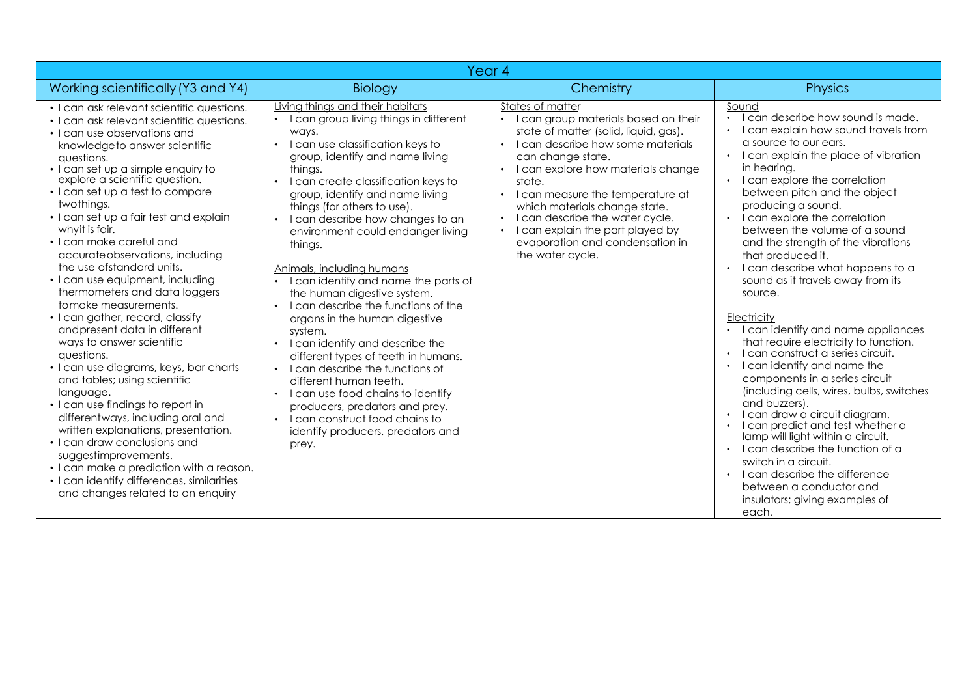| Year <sub>4</sub>                                                                                                                                                                                                                                                                                                                                                                                                                                                                                                                                                                                                                                                                                                                                                                                                                                                                                                                                                                                                                                                        |                                                                                                                                                                                                                                                                                                                                                                                                                                                                                                                                                                                                                                                                                                                                                                                                                                                                                                          |                                                                                                                                                                                                                                                                                                                                                                                                                                              |                                                                                                                                                                                                                                                                                                                                                                                                                                                                                                                                                                                                                                                                                                                                                                                                                                                                                                                                                                                                                                             |  |
|--------------------------------------------------------------------------------------------------------------------------------------------------------------------------------------------------------------------------------------------------------------------------------------------------------------------------------------------------------------------------------------------------------------------------------------------------------------------------------------------------------------------------------------------------------------------------------------------------------------------------------------------------------------------------------------------------------------------------------------------------------------------------------------------------------------------------------------------------------------------------------------------------------------------------------------------------------------------------------------------------------------------------------------------------------------------------|----------------------------------------------------------------------------------------------------------------------------------------------------------------------------------------------------------------------------------------------------------------------------------------------------------------------------------------------------------------------------------------------------------------------------------------------------------------------------------------------------------------------------------------------------------------------------------------------------------------------------------------------------------------------------------------------------------------------------------------------------------------------------------------------------------------------------------------------------------------------------------------------------------|----------------------------------------------------------------------------------------------------------------------------------------------------------------------------------------------------------------------------------------------------------------------------------------------------------------------------------------------------------------------------------------------------------------------------------------------|---------------------------------------------------------------------------------------------------------------------------------------------------------------------------------------------------------------------------------------------------------------------------------------------------------------------------------------------------------------------------------------------------------------------------------------------------------------------------------------------------------------------------------------------------------------------------------------------------------------------------------------------------------------------------------------------------------------------------------------------------------------------------------------------------------------------------------------------------------------------------------------------------------------------------------------------------------------------------------------------------------------------------------------------|--|
| Working scientifically (Y3 and Y4)                                                                                                                                                                                                                                                                                                                                                                                                                                                                                                                                                                                                                                                                                                                                                                                                                                                                                                                                                                                                                                       | Biology                                                                                                                                                                                                                                                                                                                                                                                                                                                                                                                                                                                                                                                                                                                                                                                                                                                                                                  | Chemistry                                                                                                                                                                                                                                                                                                                                                                                                                                    | <b>Physics</b>                                                                                                                                                                                                                                                                                                                                                                                                                                                                                                                                                                                                                                                                                                                                                                                                                                                                                                                                                                                                                              |  |
| • I can ask relevant scientific questions.<br>• I can ask relevant scientific questions.<br>• I can use observations and<br>knowledge to answer scientific<br>questions.<br>. I can set up a simple enquiry to<br>explore a scientific question.<br>• I can set up a test to compare<br>twothings.<br>· I can set up a fair test and explain<br>whyit is fair.<br>· I can make careful and<br>accurate observations, including<br>the use of standard units.<br>• I can use equipment, including<br>thermometers and data loggers<br>tomake measurements.<br>• I can gather, record, classify<br>and present data in different<br>ways to answer scientific<br>questions.<br>• I can use diagrams, keys, bar charts<br>and tables; using scientific<br>language.<br>• I can use findings to report in<br>differentways, including oral and<br>written explanations, presentation.<br>• I can draw conclusions and<br>suggestimprovements.<br>• I can make a prediction with a reason.<br>• I can identify differences, similarities<br>and changes related to an enquiry | Living things and their habitats<br>• I can group living things in different<br>ways.<br>I can use classification keys to<br>$\bullet$<br>group, identify and name living<br>things.<br>I can create classification keys to<br>group, identify and name living<br>things (for others to use).<br>I can describe how changes to an<br>environment could endanger living<br>things.<br>Animals, including humans<br>• I can identify and name the parts of<br>the human digestive system.<br>I can describe the functions of the<br>$\bullet$<br>organs in the human digestive<br>system.<br>• I can identify and describe the<br>different types of teeth in humans.<br>• I can describe the functions of<br>different human teeth.<br>I can use food chains to identify<br>$\bullet$<br>producers, predators and prey.<br>• I can construct food chains to<br>identify producers, predators and<br>prey. | States of matter<br>I can group materials based on their<br>state of matter (solid, liquid, gas).<br>• I can describe how some materials<br>can change state.<br>I can explore how materials change<br>$\bullet$<br>state.<br>• I can measure the temperature at<br>which materials change state.<br>I can describe the water cycle.<br>$\bullet$<br>I can explain the part played by<br>evaporation and condensation in<br>the water cycle. | Sound<br>I can describe how sound is made.<br>• I can explain how sound travels from<br>a source to our ears.<br>• I can explain the place of vibration<br>in hearing.<br>• I can explore the correlation<br>between pitch and the object<br>producing a sound.<br>• I can explore the correlation<br>between the volume of a sound<br>and the strength of the vibrations<br>that produced it.<br>• I can describe what happens to a<br>sound as it travels away from its<br>source.<br>Electricity<br>• I can identify and name appliances<br>that require electricity to function.<br>• Lean construct a series circuit.<br>• I can identify and name the<br>components in a series circuit<br>(including cells, wires, bulbs, switches<br>and buzzers).<br>I can draw a circuit diagram.<br>I can predict and test whether a<br>lamp will light within a circuit.<br>• I can describe the function of a<br>switch in a circuit.<br>• I can describe the difference<br>between a conductor and<br>insulators; giving examples of<br>each. |  |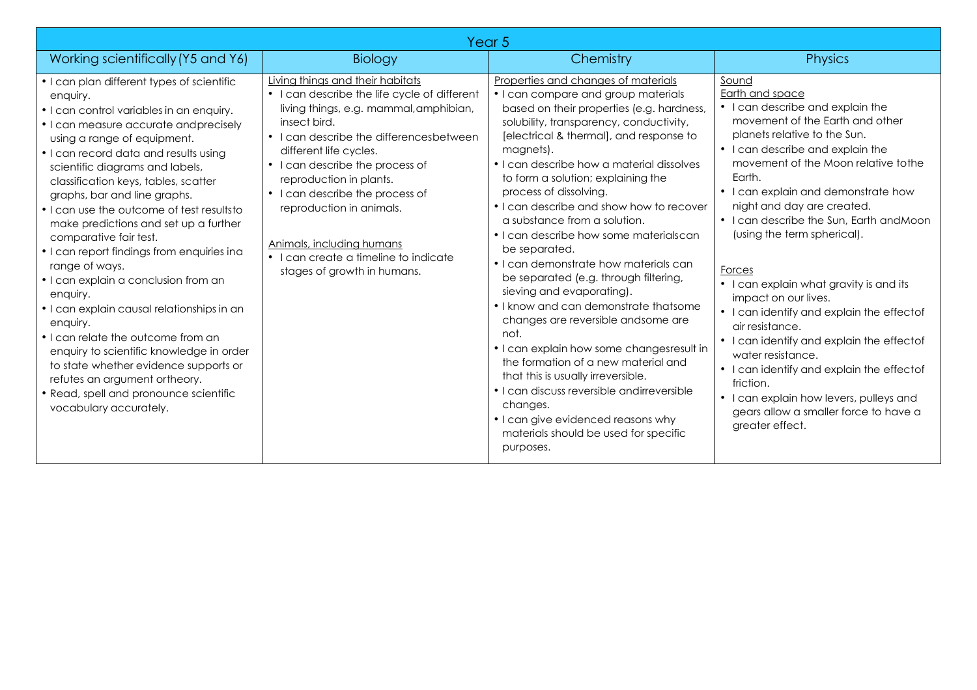| Year <sub>5</sub>                                                                                                                                                                                                                                                                                                                                                                                                                                                                                                                                                                                                                                                                                                                                                                                                                                            |                                                                                                                                                                                                                                                                                                                                                                                                                                                   |                                                                                                                                                                                                                                                                                                                                                                                                                                                                                                                                                                                                                                                                                                                                                                                                                                                                                                                                                                      |                                                                                                                                                                                                                                                                                                                                                                                                                                                                                                                                                                                                                                                                                                                                                     |  |
|--------------------------------------------------------------------------------------------------------------------------------------------------------------------------------------------------------------------------------------------------------------------------------------------------------------------------------------------------------------------------------------------------------------------------------------------------------------------------------------------------------------------------------------------------------------------------------------------------------------------------------------------------------------------------------------------------------------------------------------------------------------------------------------------------------------------------------------------------------------|---------------------------------------------------------------------------------------------------------------------------------------------------------------------------------------------------------------------------------------------------------------------------------------------------------------------------------------------------------------------------------------------------------------------------------------------------|----------------------------------------------------------------------------------------------------------------------------------------------------------------------------------------------------------------------------------------------------------------------------------------------------------------------------------------------------------------------------------------------------------------------------------------------------------------------------------------------------------------------------------------------------------------------------------------------------------------------------------------------------------------------------------------------------------------------------------------------------------------------------------------------------------------------------------------------------------------------------------------------------------------------------------------------------------------------|-----------------------------------------------------------------------------------------------------------------------------------------------------------------------------------------------------------------------------------------------------------------------------------------------------------------------------------------------------------------------------------------------------------------------------------------------------------------------------------------------------------------------------------------------------------------------------------------------------------------------------------------------------------------------------------------------------------------------------------------------------|--|
| Working scientifically (Y5 and Y6)                                                                                                                                                                                                                                                                                                                                                                                                                                                                                                                                                                                                                                                                                                                                                                                                                           | Biology                                                                                                                                                                                                                                                                                                                                                                                                                                           | Chemistry                                                                                                                                                                                                                                                                                                                                                                                                                                                                                                                                                                                                                                                                                                                                                                                                                                                                                                                                                            | <b>Physics</b>                                                                                                                                                                                                                                                                                                                                                                                                                                                                                                                                                                                                                                                                                                                                      |  |
| • I can plan different types of scientific<br>enquiry.<br>• I can control variables in an enquiry.<br>• I can measure accurate andprecisely<br>using a range of equipment.<br>• I can record data and results using<br>scientific diagrams and labels,<br>classification keys, tables, scatter<br>graphs, bar and line graphs.<br>• I can use the outcome of test resultsto<br>make predictions and set up a further<br>comparative fair test.<br>• I can report findings from enquiries ina<br>range of ways.<br>• I can explain a conclusion from an<br>enquiry.<br>· I can explain causal relationships in an<br>enquiry.<br>• I can relate the outcome from an<br>enquiry to scientific knowledge in order<br>to state whether evidence supports or<br>refutes an argument ortheory.<br>• Read, spell and pronounce scientific<br>vocabulary accurately. | Living things and their habitats<br>• I can describe the life cycle of different<br>living things, e.g. mammal, amphibian,<br>insect bird.<br>• I can describe the differencesbetween<br>different life cycles.<br>• I can describe the process of<br>reproduction in plants.<br>• I can describe the process of<br>reproduction in animals.<br>Animals, including humans<br>• I can create a timeline to indicate<br>stages of growth in humans. | Properties and changes of materials<br>• I can compare and group materials<br>based on their properties (e.g. hardness,<br>solubility, transparency, conductivity,<br>[electrical & thermal], and response to<br>magnets).<br>• I can describe how a material dissolves<br>to form a solution; explaining the<br>process of dissolving.<br>• I can describe and show how to recover<br>a substance from a solution.<br>• I can describe how some materialscan<br>be separated.<br>• I can demonstrate how materials can<br>be separated (e.g. through filtering,<br>sieving and evaporating).<br>• I know and can demonstrate thatsome<br>changes are reversible andsome are<br>not.<br>• I can explain how some changesresult in<br>the formation of a new material and<br>that this is usually irreversible.<br>• I can discuss reversible andirreversible<br>changes.<br>• I can give evidenced reasons why<br>materials should be used for specific<br>purposes. | Sound<br>Earth and space<br>• I can describe and explain the<br>movement of the Earth and other<br>planets relative to the Sun.<br>• I can describe and explain the<br>movement of the Moon relative to the<br>Earth.<br>• I can explain and demonstrate how<br>night and day are created.<br>• I can describe the Sun, Earth and Moon<br>(using the term spherical).<br>Forces<br>• I can explain what gravity is and its<br>impact on our lives.<br>• I can identify and explain the effectof<br>air resistance.<br>• I can identify and explain the effectof<br>water resistance.<br>I can identify and explain the effectof<br>friction.<br>• I can explain how levers, pulleys and<br>gears allow a smaller force to have a<br>greater effect. |  |